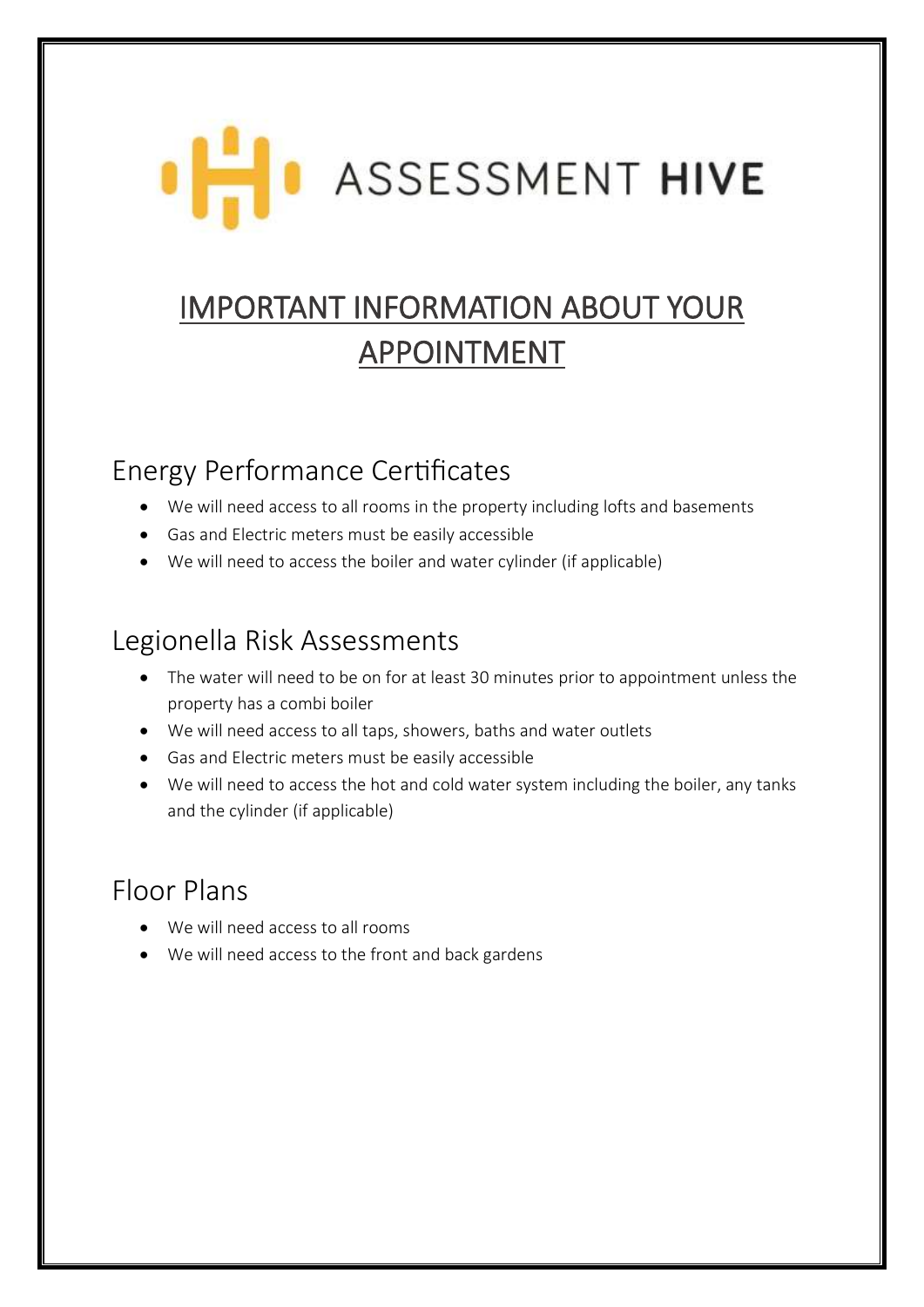# **ASSESSMENT HIVE**

## IMPORTANT INFORMATION ABOUT YOUR APPOINTMENT

## Energy Performance Certificates

- We will need access to all rooms in the property including lofts and basements
- Gas and Electric meters must be easily accessible
- We will need to access the boiler and water cylinder (if applicable)

### Legionella Risk Assessments

- The water will need to be on for at least 30 minutes prior to appointment unless the property has a combi boiler
- We will need access to all taps, showers, baths and water outlets
- Gas and Electric meters must be easily accessible
- We will need to access the hot and cold water system including the boiler, any tanks and the cylinder (if applicable)

## Floor Plans

- We will need access to all rooms
- We will need access to the front and back gardens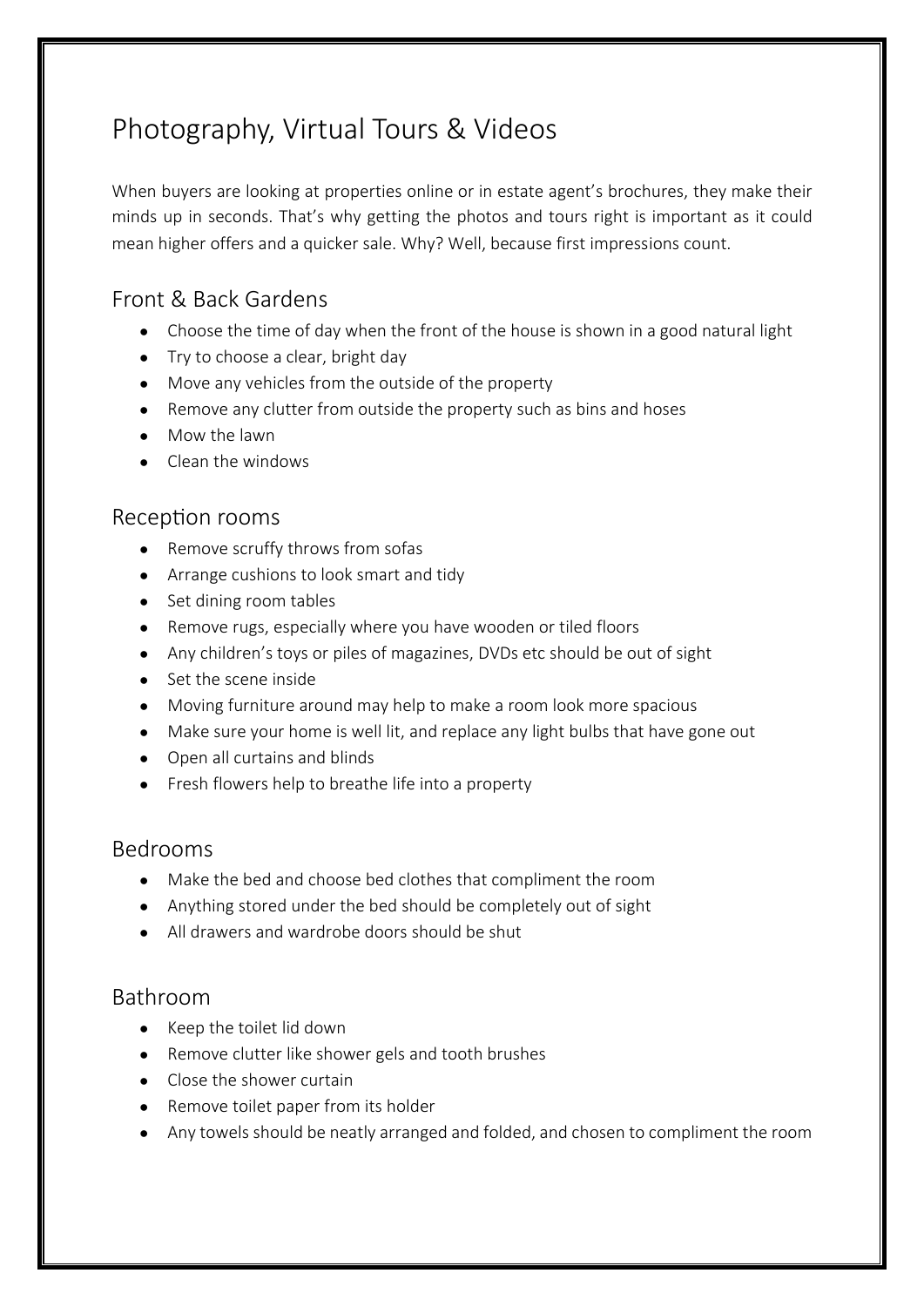## Photography, Virtual Tours & Videos

When buyers are looking at properties online or in estate agent's brochures, they make their minds up in seconds. That's why getting the photos and tours right is important as it could mean higher offers and a quicker sale. Why? Well, because first impressions count.

#### Front & Back Gardens

- Choose the time of day when the front of the house is shown in a good natural light
- Try to choose a clear, bright day
- Move any vehicles from the outside of the property
- Remove any clutter from outside the property such as bins and hoses
- Mow the lawn
- Clean the windows

#### Reception rooms

- Remove scruffy throws from sofas
- Arrange cushions to look smart and tidy
- Set dining room tables
- Remove rugs, especially where you have wooden or tiled floors
- Any children's toys or piles of magazines, DVDs etc should be out of sight
- Set the scene inside
- Moving furniture around may help to make a room look more spacious
- Make sure your home is well lit, and replace any light bulbs that have gone out
- Open all curtains and blinds
- Fresh flowers help to breathe life into a property

#### Bedrooms

- Make the bed and choose bed clothes that compliment the room
- Anything stored under the bed should be completely out of sight
- All drawers and wardrobe doors should be shut

#### Bathroom

- Keep the toilet lid down
- Remove clutter like shower gels and tooth brushes
- Close the shower curtain
- Remove toilet paper from its holder
- Any towels should be neatly arranged and folded, and chosen to compliment the room